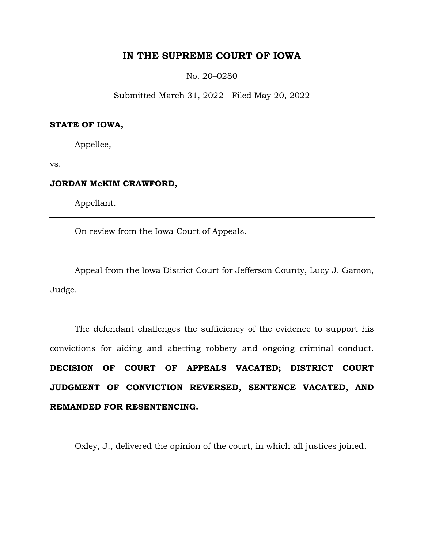# **IN THE SUPREME COURT OF IOWA**

No. 20–0280

Submitted March 31, 2022—Filed May 20, 2022

# **STATE OF IOWA,**

Appellee,

vs.

# **JORDAN McKIM CRAWFORD,**

Appellant.

On review from the Iowa Court of Appeals.

Appeal from the Iowa District Court for Jefferson County, Lucy J. Gamon, Judge.

The defendant challenges the sufficiency of the evidence to support his convictions for aiding and abetting robbery and ongoing criminal conduct. **DECISION OF COURT OF APPEALS VACATED; DISTRICT COURT JUDGMENT OF CONVICTION REVERSED, SENTENCE VACATED, AND REMANDED FOR RESENTENCING.**

Oxley, J., delivered the opinion of the court, in which all justices joined.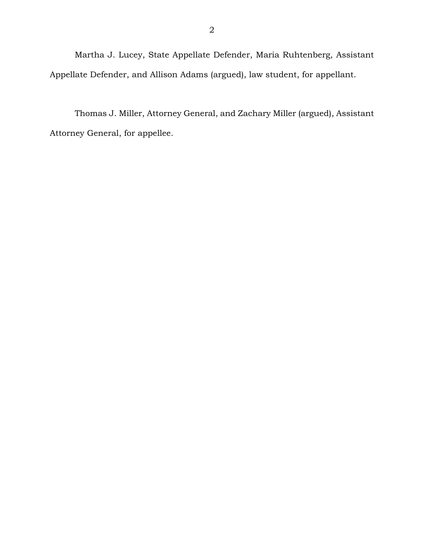Martha J. Lucey, State Appellate Defender, Maria Ruhtenberg, Assistant Appellate Defender, and Allison Adams (argued), law student, for appellant.

Thomas J. Miller, Attorney General, and Zachary Miller (argued), Assistant Attorney General, for appellee.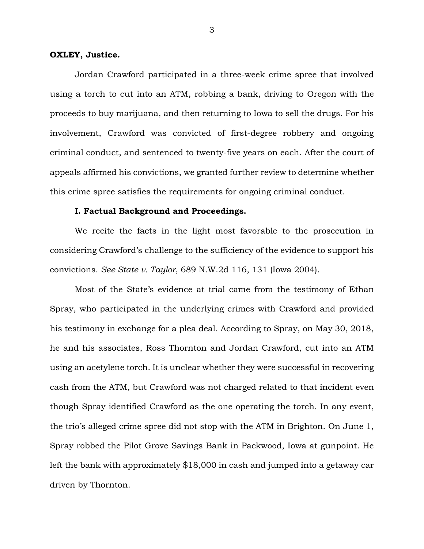## **OXLEY, Justice.**

Jordan Crawford participated in a three-week crime spree that involved using a torch to cut into an ATM, robbing a bank, driving to Oregon with the proceeds to buy marijuana, and then returning to Iowa to sell the drugs. For his involvement, Crawford was convicted of first-degree robbery and ongoing criminal conduct, and sentenced to twenty-five years on each. After the court of appeals affirmed his convictions, we granted further review to determine whether this crime spree satisfies the requirements for ongoing criminal conduct.

# **I. Factual Background and Proceedings.**

We recite the facts in the light most favorable to the prosecution in considering Crawford's challenge to the sufficiency of the evidence to support his convictions. *See State v. Taylor*, 689 N.W.2d 116, 131 (Iowa 2004).

Most of the State's evidence at trial came from the testimony of Ethan Spray, who participated in the underlying crimes with Crawford and provided his testimony in exchange for a plea deal. According to Spray, on May 30, 2018, he and his associates, Ross Thornton and Jordan Crawford, cut into an ATM using an acetylene torch. It is unclear whether they were successful in recovering cash from the ATM, but Crawford was not charged related to that incident even though Spray identified Crawford as the one operating the torch. In any event, the trio's alleged crime spree did not stop with the ATM in Brighton. On June 1, Spray robbed the Pilot Grove Savings Bank in Packwood, Iowa at gunpoint. He left the bank with approximately \$18,000 in cash and jumped into a getaway car driven by Thornton.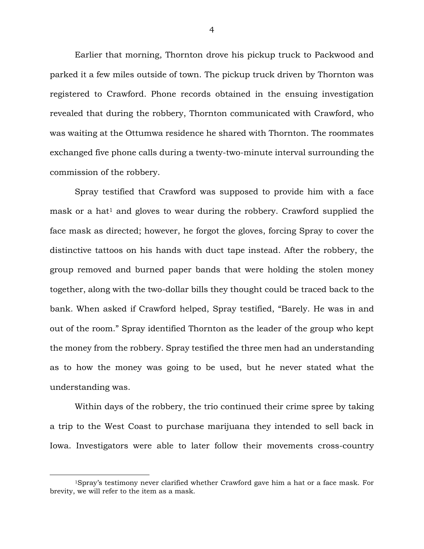Earlier that morning, Thornton drove his pickup truck to Packwood and parked it a few miles outside of town. The pickup truck driven by Thornton was registered to Crawford. Phone records obtained in the ensuing investigation revealed that during the robbery, Thornton communicated with Crawford, who was waiting at the Ottumwa residence he shared with Thornton. The roommates exchanged five phone calls during a twenty-two-minute interval surrounding the commission of the robbery.

Spray testified that Crawford was supposed to provide him with a face mask or a hat<sup>1</sup> and gloves to wear during the robbery. Crawford supplied the face mask as directed; however, he forgot the gloves, forcing Spray to cover the distinctive tattoos on his hands with duct tape instead. After the robbery, the group removed and burned paper bands that were holding the stolen money together, along with the two-dollar bills they thought could be traced back to the bank. When asked if Crawford helped, Spray testified, "Barely. He was in and out of the room." Spray identified Thornton as the leader of the group who kept the money from the robbery. Spray testified the three men had an understanding as to how the money was going to be used, but he never stated what the understanding was.

Within days of the robbery, the trio continued their crime spree by taking a trip to the West Coast to purchase marijuana they intended to sell back in Iowa. Investigators were able to later follow their movements cross-country

 $\overline{a}$ 

<sup>1</sup>Spray's testimony never clarified whether Crawford gave him a hat or a face mask. For brevity, we will refer to the item as a mask.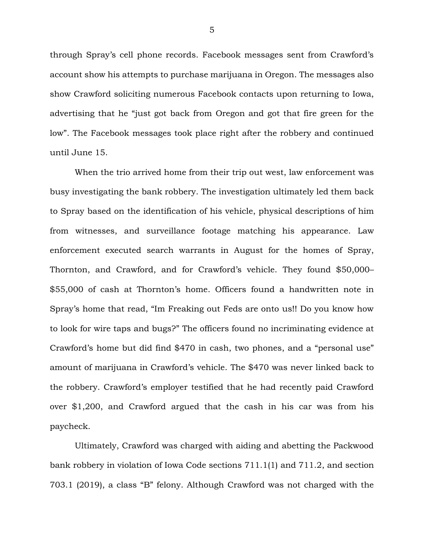through Spray's cell phone records. Facebook messages sent from Crawford's account show his attempts to purchase marijuana in Oregon. The messages also show Crawford soliciting numerous Facebook contacts upon returning to Iowa, advertising that he "just got back from Oregon and got that fire green for the low". The Facebook messages took place right after the robbery and continued until June 15.

When the trio arrived home from their trip out west, law enforcement was busy investigating the bank robbery. The investigation ultimately led them back to Spray based on the identification of his vehicle, physical descriptions of him from witnesses, and surveillance footage matching his appearance. Law enforcement executed search warrants in August for the homes of Spray, Thornton, and Crawford, and for Crawford's vehicle. They found \$50,000– \$55,000 of cash at Thornton's home. Officers found a handwritten note in Spray's home that read, "Im Freaking out Feds are onto us!! Do you know how to look for wire taps and bugs?" The officers found no incriminating evidence at Crawford's home but did find \$470 in cash, two phones, and a "personal use" amount of marijuana in Crawford's vehicle. The \$470 was never linked back to the robbery. Crawford's employer testified that he had recently paid Crawford over \$1,200, and Crawford argued that the cash in his car was from his paycheck.

Ultimately, Crawford was charged with aiding and abetting the Packwood bank robbery in violation of Iowa Code sections 711.1(1) and 711.2, and section 703.1 (2019), a class "B" felony. Although Crawford was not charged with the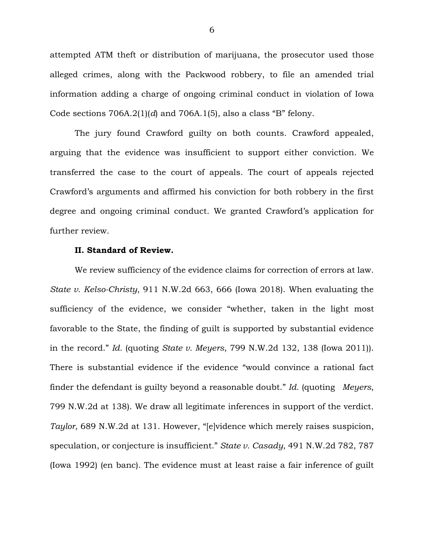attempted ATM theft or distribution of marijuana, the prosecutor used those alleged crimes, along with the Packwood robbery, to file an amended trial information adding a charge of ongoing criminal conduct in violation of Iowa Code sections 706A.2(1)(*d*) and 706A.1(5), also a class "B" felony.

The jury found Crawford guilty on both counts. Crawford appealed, arguing that the evidence was insufficient to support either conviction. We transferred the case to the court of appeals. The court of appeals rejected Crawford's arguments and affirmed his conviction for both robbery in the first degree and ongoing criminal conduct. We granted Crawford's application for further review.

# **II. Standard of Review.**

We review sufficiency of the evidence claims for correction of errors at law. *State v. Kelso-Christy*, 911 N.W.2d 663, 666 (Iowa 2018). When evaluating the sufficiency of the evidence, we consider "whether, taken in the light most favorable to the State, the finding of guilt is supported by substantial evidence in the record." *Id.* (quoting *State v. Meyers*, 799 N.W.2d 132, 138 (Iowa 2011)). There is substantial evidence if the evidence "would convince a rational fact finder the defendant is guilty beyond a reasonable doubt." *Id.* (quoting *Meyers*, 799 N.W.2d at 138). We draw all legitimate inferences in support of the verdict. *Taylor*, 689 N.W.2d at 131. However, "[e]vidence which merely raises suspicion, speculation, or conjecture is insufficient." *State v. Casady*, 491 N.W.2d 782, 787 (Iowa 1992) (en banc). The evidence must at least raise a fair inference of guilt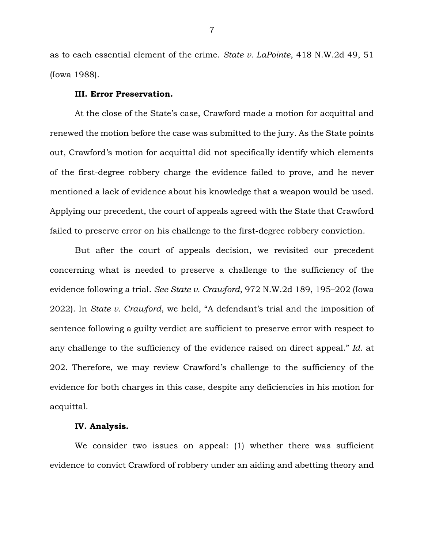as to each essential element of the crime. *State v. LaPointe*, 418 N.W.2d 49, 51 (Iowa 1988).

#### **III. Error Preservation.**

At the close of the State's case, Crawford made a motion for acquittal and renewed the motion before the case was submitted to the jury. As the State points out, Crawford's motion for acquittal did not specifically identify which elements of the first-degree robbery charge the evidence failed to prove, and he never mentioned a lack of evidence about his knowledge that a weapon would be used. Applying our precedent, the court of appeals agreed with the State that Crawford failed to preserve error on his challenge to the first-degree robbery conviction.

But after the court of appeals decision, we revisited our precedent concerning what is needed to preserve a challenge to the sufficiency of the evidence following a trial. *See State v. Crawford*, 972 N.W.2d 189, 195–202 (Iowa 2022). In *State v. Crawford*, we held, "A defendant's trial and the imposition of sentence following a guilty verdict are sufficient to preserve error with respect to any challenge to the sufficiency of the evidence raised on direct appeal." *Id.* at 202. Therefore, we may review Crawford's challenge to the sufficiency of the evidence for both charges in this case, despite any deficiencies in his motion for acquittal.

#### **IV. Analysis.**

We consider two issues on appeal: (1) whether there was sufficient evidence to convict Crawford of robbery under an aiding and abetting theory and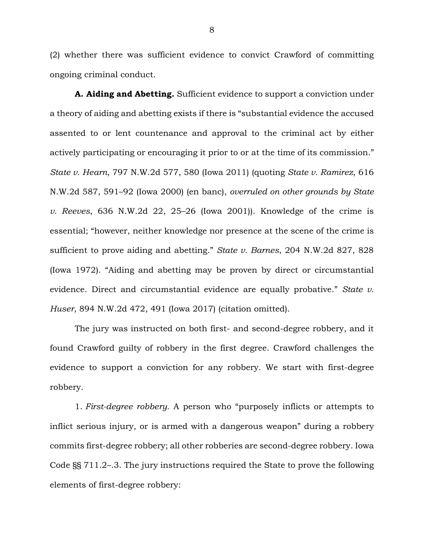(2) whether there was sufficient evidence to convict Crawford of committing ongoing criminal conduct.

**A. Aiding and Abetting.** Sufficient evidence to support a conviction under a theory of aiding and abetting exists if there is "substantial evidence the accused assented to or lent countenance and approval to the criminal act by either actively participating or encouraging it prior to or at the time of its commission." *State v. Hearn*, 797 N.W.2d 577, 580 (Iowa 2011) (quoting *State v. Ramirez*, 616 N.W.2d 587, 591–92 (Iowa 2000) (en banc), *overruled on other grounds by State v. Reeves*, 636 N.W.2d 22, 25–26 (Iowa 2001)). Knowledge of the crime is essential; "however, neither knowledge nor presence at the scene of the crime is sufficient to prove aiding and abetting." *State v. Barnes*, 204 N.W.2d 827, 828 (Iowa 1972). "Aiding and abetting may be proven by direct or circumstantial evidence. Direct and circumstantial evidence are equally probative." *State v. Huser*, 894 N.W.2d 472, 491 (Iowa 2017) (citation omitted).

The jury was instructed on both first- and second-degree robbery, and it found Crawford guilty of robbery in the first degree. Crawford challenges the evidence to support a conviction for any robbery. We start with first-degree robbery.

1. *First-degree robbery.* A person who "purposely inflicts or attempts to inflict serious injury, or is armed with a dangerous weapon" during a robbery commits first-degree robbery; all other robberies are second-degree robbery. Iowa Code §§ 711.2–.3. The jury instructions required the State to prove the following elements of first-degree robbery: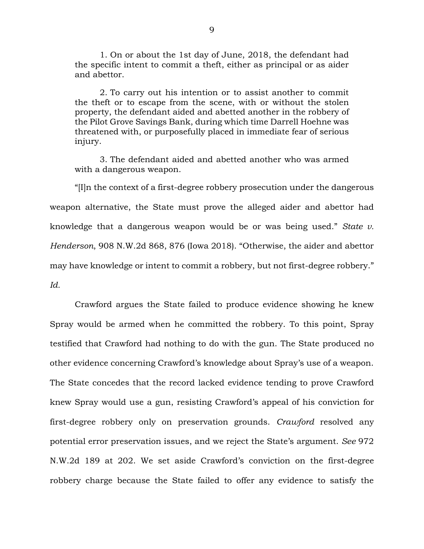1. On or about the 1st day of June, 2018, the defendant had the specific intent to commit a theft, either as principal or as aider and abettor.

2. To carry out his intention or to assist another to commit the theft or to escape from the scene, with or without the stolen property, the defendant aided and abetted another in the robbery of the Pilot Grove Savings Bank, during which time Darrell Hoehne was threatened with, or purposefully placed in immediate fear of serious injury.

3. The defendant aided and abetted another who was armed with a dangerous weapon.

"[I]n the context of a first-degree robbery prosecution under the dangerous weapon alternative, the State must prove the alleged aider and abettor had knowledge that a dangerous weapon would be or was being used." *State v. Henderson*, 908 N.W.2d 868, 876 (Iowa 2018). "Otherwise, the aider and abettor may have knowledge or intent to commit a robbery, but not first-degree robbery." *Id.*

Crawford argues the State failed to produce evidence showing he knew Spray would be armed when he committed the robbery. To this point, Spray testified that Crawford had nothing to do with the gun. The State produced no other evidence concerning Crawford's knowledge about Spray's use of a weapon. The State concedes that the record lacked evidence tending to prove Crawford knew Spray would use a gun, resisting Crawford's appeal of his conviction for first-degree robbery only on preservation grounds. *Crawford* resolved any potential error preservation issues, and we reject the State's argument. *See* 972 N.W.2d 189 at 202. We set aside Crawford's conviction on the first-degree robbery charge because the State failed to offer any evidence to satisfy the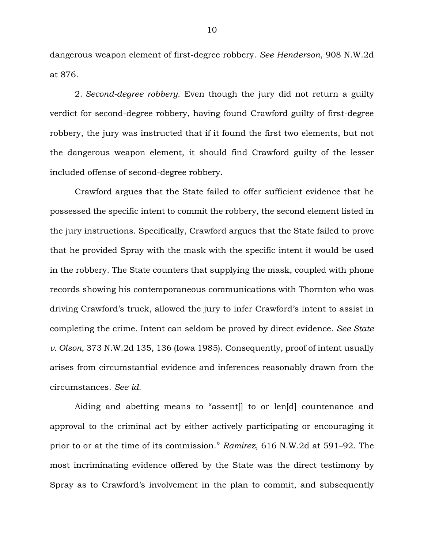dangerous weapon element of first-degree robbery. *See Henderson*, 908 N.W.2d at 876.

2. *Second-degree robbery.* Even though the jury did not return a guilty verdict for second-degree robbery, having found Crawford guilty of first-degree robbery, the jury was instructed that if it found the first two elements, but not the dangerous weapon element, it should find Crawford guilty of the lesser included offense of second-degree robbery.

Crawford argues that the State failed to offer sufficient evidence that he possessed the specific intent to commit the robbery, the second element listed in the jury instructions. Specifically, Crawford argues that the State failed to prove that he provided Spray with the mask with the specific intent it would be used in the robbery. The State counters that supplying the mask, coupled with phone records showing his contemporaneous communications with Thornton who was driving Crawford's truck, allowed the jury to infer Crawford's intent to assist in completing the crime. Intent can seldom be proved by direct evidence. *See State v. Olson*, 373 N.W.2d 135, 136 (Iowa 1985). Consequently, proof of intent usually arises from circumstantial evidence and inferences reasonably drawn from the circumstances. *See id.* 

Aiding and abetting means to "assent[] to or len[d] countenance and approval to the criminal act by either actively participating or encouraging it prior to or at the time of its commission." *Ramirez*, 616 N.W.2d at 591–92. The most incriminating evidence offered by the State was the direct testimony by Spray as to Crawford's involvement in the plan to commit, and subsequently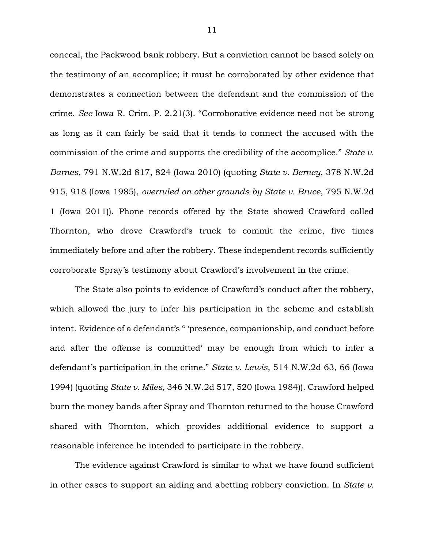conceal, the Packwood bank robbery. But a conviction cannot be based solely on the testimony of an accomplice; it must be corroborated by other evidence that demonstrates a connection between the defendant and the commission of the crime. *See* Iowa R. Crim. P. 2.21(3). "Corroborative evidence need not be strong as long as it can fairly be said that it tends to connect the accused with the commission of the crime and supports the credibility of the accomplice." *State v. Barnes*, 791 N.W.2d 817, 824 (Iowa 2010) (quoting *State v. Berney*, 378 N.W.2d 915, 918 (Iowa 1985), *overruled on other grounds by State v. Bruce*, 795 N.W.2d 1 (Iowa 2011)). Phone records offered by the State showed Crawford called Thornton, who drove Crawford's truck to commit the crime, five times immediately before and after the robbery. These independent records sufficiently corroborate Spray's testimony about Crawford's involvement in the crime.

The State also points to evidence of Crawford's conduct after the robbery, which allowed the jury to infer his participation in the scheme and establish intent. Evidence of a defendant's " 'presence, companionship, and conduct before and after the offense is committed' may be enough from which to infer a defendant's participation in the crime." *State v. Lewis*, 514 N.W.2d 63, 66 (Iowa 1994) (quoting *State v. Miles*, 346 N.W.2d 517, 520 (Iowa 1984)). Crawford helped burn the money bands after Spray and Thornton returned to the house Crawford shared with Thornton, which provides additional evidence to support a reasonable inference he intended to participate in the robbery.

The evidence against Crawford is similar to what we have found sufficient in other cases to support an aiding and abetting robbery conviction. In *State v.*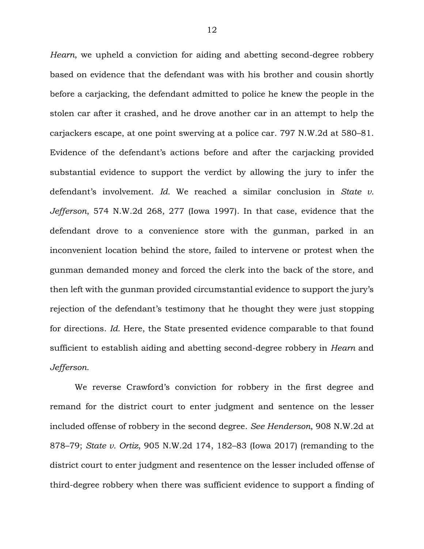*Hearn*, we upheld a conviction for aiding and abetting second-degree robbery based on evidence that the defendant was with his brother and cousin shortly before a carjacking, the defendant admitted to police he knew the people in the stolen car after it crashed, and he drove another car in an attempt to help the carjackers escape, at one point swerving at a police car. 797 N.W.2d at 580–81. Evidence of the defendant's actions before and after the carjacking provided substantial evidence to support the verdict by allowing the jury to infer the defendant's involvement. *Id.* We reached a similar conclusion in *State v. Jefferson*, 574 N.W.2d 268, 277 (Iowa 1997). In that case, evidence that the defendant drove to a convenience store with the gunman, parked in an inconvenient location behind the store, failed to intervene or protest when the gunman demanded money and forced the clerk into the back of the store, and then left with the gunman provided circumstantial evidence to support the jury's rejection of the defendant's testimony that he thought they were just stopping for directions. *Id.* Here, the State presented evidence comparable to that found sufficient to establish aiding and abetting second-degree robbery in *Hearn* and *Jefferson*.

We reverse Crawford's conviction for robbery in the first degree and remand for the district court to enter judgment and sentence on the lesser included offense of robbery in the second degree. *See Henderson*, 908 N.W.2d at 878–79; *State v. Ortiz*, 905 N.W.2d 174, 182–83 (Iowa 2017) (remanding to the district court to enter judgment and resentence on the lesser included offense of third-degree robbery when there was sufficient evidence to support a finding of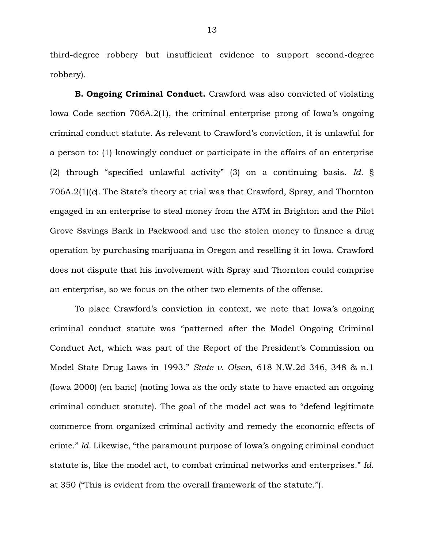third-degree robbery but insufficient evidence to support second-degree robbery).

**B. Ongoing Criminal Conduct.** Crawford was also convicted of violating Iowa Code section 706A.2(1), the criminal enterprise prong of Iowa's ongoing criminal conduct statute. As relevant to Crawford's conviction, it is unlawful for a person to: (1) knowingly conduct or participate in the affairs of an enterprise (2) through "specified unlawful activity" (3) on a continuing basis. *Id.* § 706A.2(1)(*c*). The State's theory at trial was that Crawford, Spray, and Thornton engaged in an enterprise to steal money from the ATM in Brighton and the Pilot Grove Savings Bank in Packwood and use the stolen money to finance a drug operation by purchasing marijuana in Oregon and reselling it in Iowa. Crawford does not dispute that his involvement with Spray and Thornton could comprise an enterprise, so we focus on the other two elements of the offense.

To place Crawford's conviction in context, we note that Iowa's ongoing criminal conduct statute was "patterned after the Model Ongoing Criminal Conduct Act, which was part of the Report of the President's Commission on Model State Drug Laws in 1993." *State v. Olsen*, 618 N.W.2d 346, 348 & n.1 (Iowa 2000) (en banc) (noting Iowa as the only state to have enacted an ongoing criminal conduct statute). The goal of the model act was to "defend legitimate commerce from organized criminal activity and remedy the economic effects of crime." *Id.* Likewise, "the paramount purpose of Iowa's ongoing criminal conduct statute is, like the model act, to combat criminal networks and enterprises." *Id.* at 350 ("This is evident from the overall framework of the statute.").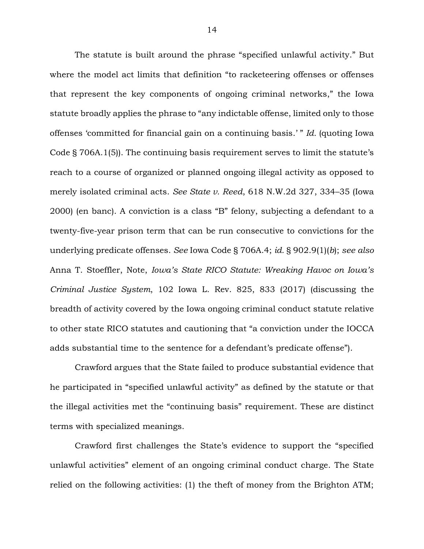The statute is built around the phrase "specified unlawful activity." But where the model act limits that definition "to racketeering offenses or offenses that represent the key components of ongoing criminal networks," the Iowa statute broadly applies the phrase to "any indictable offense, limited only to those offenses 'committed for financial gain on a continuing basis.' " *Id.* (quoting Iowa Code § 706A.1(5)). The continuing basis requirement serves to limit the statute's reach to a course of organized or planned ongoing illegal activity as opposed to merely isolated criminal acts. *See State v. Reed*, 618 N.W.2d 327, 334–35 (Iowa 2000) (en banc). A conviction is a class "B" felony, subjecting a defendant to a twenty-five-year prison term that can be run consecutive to convictions for the underlying predicate offenses. *See* Iowa Code § 706A.4; *id.* § 902.9(1)(*b*); *see also* Anna T. Stoeffler, Note, *Iowa's State RICO Statute: Wreaking Havoc on Iowa's Criminal Justice System*, 102 Iowa L. Rev. 825, 833 (2017) (discussing the breadth of activity covered by the Iowa ongoing criminal conduct statute relative to other state RICO statutes and cautioning that "a conviction under the IOCCA adds substantial time to the sentence for a defendant's predicate offense").

Crawford argues that the State failed to produce substantial evidence that he participated in "specified unlawful activity" as defined by the statute or that the illegal activities met the "continuing basis" requirement. These are distinct terms with specialized meanings.

Crawford first challenges the State's evidence to support the "specified unlawful activities" element of an ongoing criminal conduct charge. The State relied on the following activities: (1) the theft of money from the Brighton ATM;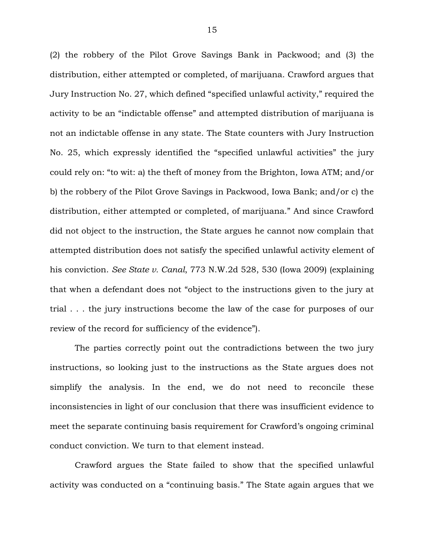(2) the robbery of the Pilot Grove Savings Bank in Packwood; and (3) the distribution, either attempted or completed, of marijuana. Crawford argues that Jury Instruction No. 27, which defined "specified unlawful activity," required the activity to be an "indictable offense" and attempted distribution of marijuana is not an indictable offense in any state. The State counters with Jury Instruction No. 25, which expressly identified the "specified unlawful activities" the jury could rely on: "to wit: a) the theft of money from the Brighton, Iowa ATM; and/or b) the robbery of the Pilot Grove Savings in Packwood, Iowa Bank; and/or c) the distribution, either attempted or completed, of marijuana." And since Crawford did not object to the instruction, the State argues he cannot now complain that attempted distribution does not satisfy the specified unlawful activity element of his conviction. *See State v. Canal*, 773 N.W.2d 528, 530 (Iowa 2009) (explaining that when a defendant does not "object to the instructions given to the jury at trial . . . the jury instructions become the law of the case for purposes of our review of the record for sufficiency of the evidence").

The parties correctly point out the contradictions between the two jury instructions, so looking just to the instructions as the State argues does not simplify the analysis. In the end, we do not need to reconcile these inconsistencies in light of our conclusion that there was insufficient evidence to meet the separate continuing basis requirement for Crawford's ongoing criminal conduct conviction. We turn to that element instead.

Crawford argues the State failed to show that the specified unlawful activity was conducted on a "continuing basis." The State again argues that we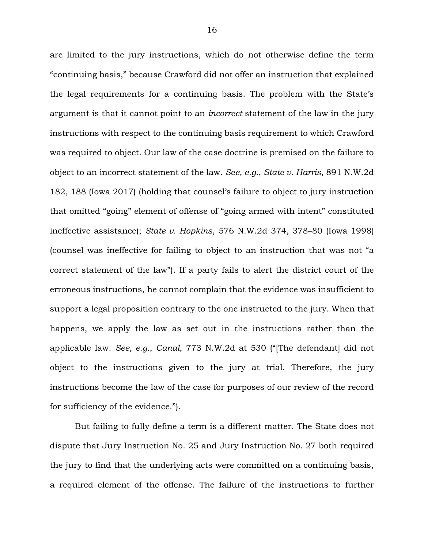are limited to the jury instructions, which do not otherwise define the term "continuing basis," because Crawford did not offer an instruction that explained the legal requirements for a continuing basis. The problem with the State's argument is that it cannot point to an *incorrect* statement of the law in the jury instructions with respect to the continuing basis requirement to which Crawford was required to object. Our law of the case doctrine is premised on the failure to object to an incorrect statement of the law. *See, e.g.*, *State v. Harris*, 891 N.W.2d 182, 188 (Iowa 2017) (holding that counsel's failure to object to jury instruction that omitted "going" element of offense of "going armed with intent" constituted ineffective assistance); *State v. Hopkins*, 576 N.W.2d 374, 378–80 (Iowa 1998) (counsel was ineffective for failing to object to an instruction that was not "a correct statement of the law"). If a party fails to alert the district court of the erroneous instructions, he cannot complain that the evidence was insufficient to support a legal proposition contrary to the one instructed to the jury. When that happens, we apply the law as set out in the instructions rather than the applicable law. *See, e.g.*, *Canal*, 773 N.W.2d at 530 ("[The defendant] did not object to the instructions given to the jury at trial. Therefore, the jury instructions become the law of the case for purposes of our review of the record for sufficiency of the evidence.").

But failing to fully define a term is a different matter. The State does not dispute that Jury Instruction No. 25 and Jury Instruction No. 27 both required the jury to find that the underlying acts were committed on a continuing basis, a required element of the offense. The failure of the instructions to further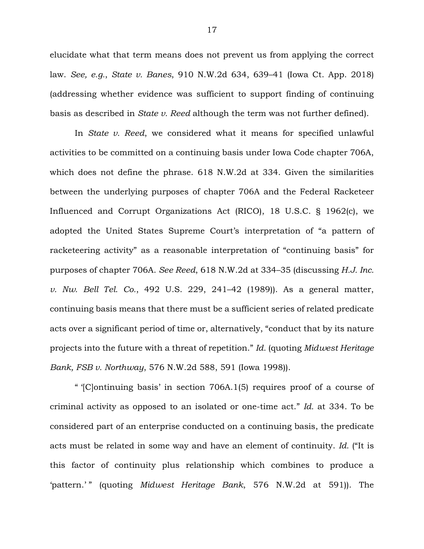elucidate what that term means does not prevent us from applying the correct law. *See, e.g.*, *State v. Banes*, 910 N.W.2d 634, 639–41 (Iowa Ct. App. 2018) (addressing whether evidence was sufficient to support finding of continuing basis as described in *State v. Reed* although the term was not further defined).

In *State v. Reed*, we considered what it means for specified unlawful activities to be committed on a continuing basis under Iowa Code chapter 706A, which does not define the phrase. 618 N.W.2d at 334. Given the similarities between the underlying purposes of chapter 706A and the Federal Racketeer Influenced and Corrupt Organizations Act (RICO), 18 U.S.C. § 1962(c), we adopted the United States Supreme Court's interpretation of "a pattern of racketeering activity" as a reasonable interpretation of "continuing basis" for purposes of chapter 706A. *See Reed*, 618 N.W.2d at 334–35 (discussing *H.J. Inc. v. Nw. Bell Tel. Co.*, 492 U.S. 229, 241–42 (1989)). As a general matter, continuing basis means that there must be a sufficient series of related predicate acts over a significant period of time or, alternatively, "conduct that by its nature projects into the future with a threat of repetition." *Id.* (quoting *Midwest Heritage Bank, FSB v. Northway*, 576 N.W.2d 588, 591 (Iowa 1998)).

" '[C]ontinuing basis' in section 706A.1(5) requires proof of a course of criminal activity as opposed to an isolated or one-time act." *Id.* at 334. To be considered part of an enterprise conducted on a continuing basis, the predicate acts must be related in some way and have an element of continuity. *Id.* ("It is this factor of continuity plus relationship which combines to produce a 'pattern.'" (quoting *Midwest Heritage Bank*, 576 N.W.2d at 591)). The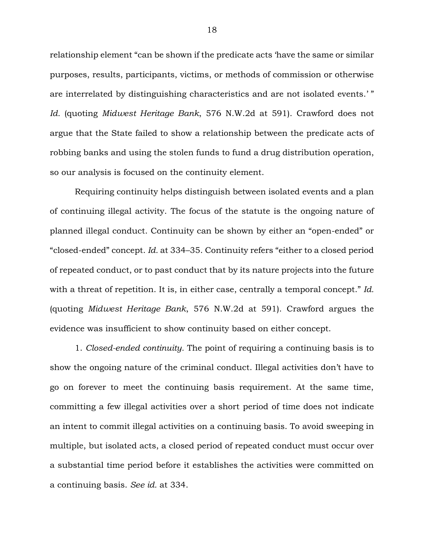relationship element "can be shown if the predicate acts 'have the same or similar purposes, results, participants, victims, or methods of commission or otherwise are interrelated by distinguishing characteristics and are not isolated events.' " *Id.* (quoting *Midwest Heritage Bank*, 576 N.W.2d at 591). Crawford does not argue that the State failed to show a relationship between the predicate acts of robbing banks and using the stolen funds to fund a drug distribution operation, so our analysis is focused on the continuity element.

Requiring continuity helps distinguish between isolated events and a plan of continuing illegal activity. The focus of the statute is the ongoing nature of planned illegal conduct. Continuity can be shown by either an "open-ended" or "closed-ended" concept. *Id.* at 334–35. Continuity refers "either to a closed period of repeated conduct, or to past conduct that by its nature projects into the future with a threat of repetition. It is, in either case, centrally a temporal concept." *Id.* (quoting *Midwest Heritage Bank*, 576 N.W.2d at 591). Crawford argues the evidence was insufficient to show continuity based on either concept.

1. *Closed-ended continuity.* The point of requiring a continuing basis is to show the ongoing nature of the criminal conduct. Illegal activities don't have to go on forever to meet the continuing basis requirement. At the same time, committing a few illegal activities over a short period of time does not indicate an intent to commit illegal activities on a continuing basis. To avoid sweeping in multiple, but isolated acts, a closed period of repeated conduct must occur over a substantial time period before it establishes the activities were committed on a continuing basis. *See id.* at 334.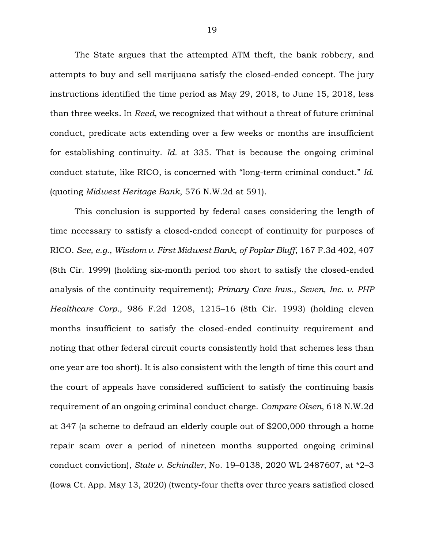The State argues that the attempted ATM theft, the bank robbery, and attempts to buy and sell marijuana satisfy the closed-ended concept. The jury instructions identified the time period as May 29, 2018, to June 15, 2018, less than three weeks. In *Reed*, we recognized that without a threat of future criminal conduct, predicate acts extending over a few weeks or months are insufficient for establishing continuity. *Id.* at 335. That is because the ongoing criminal conduct statute, like RICO, is concerned with "long-term criminal conduct." *Id.* (quoting *Midwest Heritage Bank*, 576 N.W.2d at 591).

This conclusion is supported by federal cases considering the length of time necessary to satisfy a closed-ended concept of continuity for purposes of RICO. *See, e.g.*, *Wisdom v. First Midwest Bank, of Poplar Bluff*, 167 F.3d 402, 407 (8th Cir. 1999) (holding six-month period too short to satisfy the closed-ended analysis of the continuity requirement); *Primary Care Invs., Seven, Inc. v. PHP Healthcare Corp.*, 986 F.2d 1208, 1215–16 (8th Cir. 1993) (holding eleven months insufficient to satisfy the closed-ended continuity requirement and noting that other federal circuit courts consistently hold that schemes less than one year are too short). It is also consistent with the length of time this court and the court of appeals have considered sufficient to satisfy the continuing basis requirement of an ongoing criminal conduct charge. *Compare Olsen*, 618 N.W.2d at 347 (a scheme to defraud an elderly couple out of \$200,000 through a home repair scam over a period of nineteen months supported ongoing criminal conduct conviction), *State v. Schindler*, No. 19–0138, 2020 WL 2487607, at \*2–3 (Iowa Ct. App. May 13, 2020) (twenty-four thefts over three years satisfied closed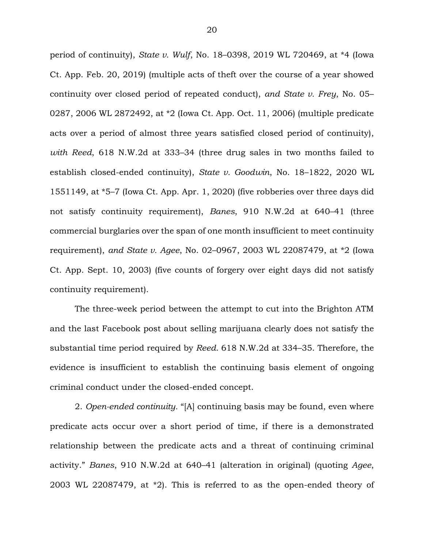period of continuity), *State v. Wulf*, No. 18–0398, 2019 WL 720469, at \*4 (Iowa Ct. App. Feb. 20, 2019) (multiple acts of theft over the course of a year showed continuity over closed period of repeated conduct), *and State v. Frey*, No. 05– 0287, 2006 WL 2872492, at \*2 (Iowa Ct. App. Oct. 11, 2006) (multiple predicate acts over a period of almost three years satisfied closed period of continuity), *with Reed*, 618 N.W.2d at 333–34 (three drug sales in two months failed to establish closed-ended continuity), *State v. Goodwin*, No. 18–1822, 2020 WL 1551149, at \*5–7 (Iowa Ct. App. Apr. 1, 2020) (five robberies over three days did not satisfy continuity requirement), *Banes*, 910 N.W.2d at 640–41 (three commercial burglaries over the span of one month insufficient to meet continuity requirement), *and State v. Agee*, No. 02–0967, 2003 WL 22087479, at \*2 (Iowa Ct. App. Sept. 10, 2003) (five counts of forgery over eight days did not satisfy continuity requirement).

The three-week period between the attempt to cut into the Brighton ATM and the last Facebook post about selling marijuana clearly does not satisfy the substantial time period required by *Reed*. 618 N.W.2d at 334–35. Therefore, the evidence is insufficient to establish the continuing basis element of ongoing criminal conduct under the closed-ended concept.

2. *Open-ended continuity.* "[A] continuing basis may be found, even where predicate acts occur over a short period of time, if there is a demonstrated relationship between the predicate acts and a threat of continuing criminal activity." *Banes*, 910 N.W.2d at 640–41 (alteration in original) (quoting *Agee*, 2003 WL 22087479, at \*2). This is referred to as the open-ended theory of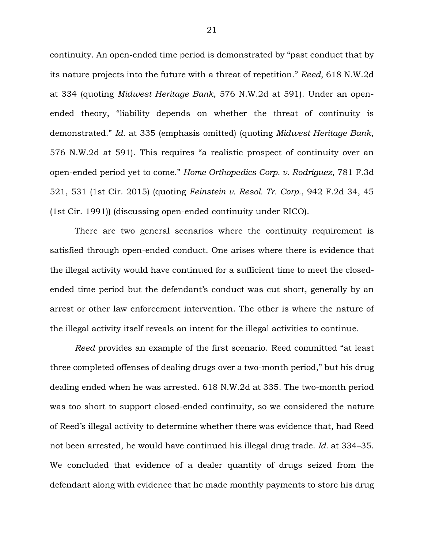continuity. An open-ended time period is demonstrated by "past conduct that by its nature projects into the future with a threat of repetition." *Reed*, 618 N.W.2d at 334 (quoting *Midwest Heritage Bank*, 576 N.W.2d at 591). Under an openended theory, "liability depends on whether the threat of continuity is demonstrated." *Id.* at 335 (emphasis omitted) (quoting *Midwest Heritage Bank*, 576 N.W.2d at 591). This requires "a realistic prospect of continuity over an open-ended period yet to come." *Home Orthopedics Corp. v. Rodríguez*, 781 F.3d 521, 531 (1st Cir. 2015) (quoting *Feinstein v. Resol. Tr. Corp.*, 942 F.2d 34, 45 (1st Cir. 1991)) (discussing open-ended continuity under RICO).

There are two general scenarios where the continuity requirement is satisfied through open-ended conduct. One arises where there is evidence that the illegal activity would have continued for a sufficient time to meet the closedended time period but the defendant's conduct was cut short, generally by an arrest or other law enforcement intervention. The other is where the nature of the illegal activity itself reveals an intent for the illegal activities to continue.

*Reed* provides an example of the first scenario. Reed committed "at least three completed offenses of dealing drugs over a two-month period," but his drug dealing ended when he was arrested. 618 N.W.2d at 335. The two-month period was too short to support closed-ended continuity, so we considered the nature of Reed's illegal activity to determine whether there was evidence that, had Reed not been arrested, he would have continued his illegal drug trade. *Id.* at 334–35. We concluded that evidence of a dealer quantity of drugs seized from the defendant along with evidence that he made monthly payments to store his drug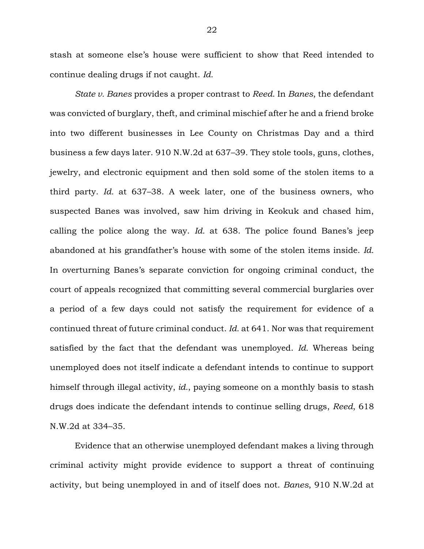stash at someone else's house were sufficient to show that Reed intended to continue dealing drugs if not caught. *Id.*

*State v. Banes* provides a proper contrast to *Reed*. In *Banes*, the defendant was convicted of burglary, theft, and criminal mischief after he and a friend broke into two different businesses in Lee County on Christmas Day and a third business a few days later. 910 N.W.2d at 637–39. They stole tools, guns, clothes, jewelry, and electronic equipment and then sold some of the stolen items to a third party. *Id.* at 637–38. A week later, one of the business owners, who suspected Banes was involved, saw him driving in Keokuk and chased him, calling the police along the way. *Id.* at 638. The police found Banes's jeep abandoned at his grandfather's house with some of the stolen items inside. *Id.* In overturning Banes's separate conviction for ongoing criminal conduct, the court of appeals recognized that committing several commercial burglaries over a period of a few days could not satisfy the requirement for evidence of a continued threat of future criminal conduct. *Id.* at 641. Nor was that requirement satisfied by the fact that the defendant was unemployed. *Id.* Whereas being unemployed does not itself indicate a defendant intends to continue to support himself through illegal activity, *id.*, paying someone on a monthly basis to stash drugs does indicate the defendant intends to continue selling drugs, *Reed*, 618 N.W.2d at 334–35.

Evidence that an otherwise unemployed defendant makes a living through criminal activity might provide evidence to support a threat of continuing activity, but being unemployed in and of itself does not. *Banes*, 910 N.W.2d at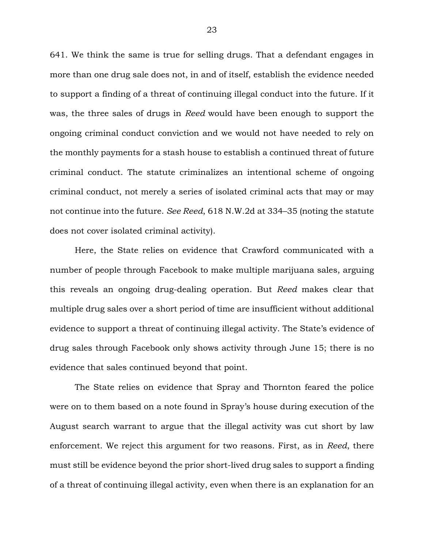641. We think the same is true for selling drugs. That a defendant engages in more than one drug sale does not, in and of itself, establish the evidence needed to support a finding of a threat of continuing illegal conduct into the future. If it was, the three sales of drugs in *Reed* would have been enough to support the ongoing criminal conduct conviction and we would not have needed to rely on the monthly payments for a stash house to establish a continued threat of future criminal conduct. The statute criminalizes an intentional scheme of ongoing criminal conduct, not merely a series of isolated criminal acts that may or may not continue into the future. *See Reed*, 618 N.W.2d at 334–35 (noting the statute does not cover isolated criminal activity).

Here, the State relies on evidence that Crawford communicated with a number of people through Facebook to make multiple marijuana sales, arguing this reveals an ongoing drug-dealing operation. But *Reed* makes clear that multiple drug sales over a short period of time are insufficient without additional evidence to support a threat of continuing illegal activity. The State's evidence of drug sales through Facebook only shows activity through June 15; there is no evidence that sales continued beyond that point.

The State relies on evidence that Spray and Thornton feared the police were on to them based on a note found in Spray's house during execution of the August search warrant to argue that the illegal activity was cut short by law enforcement. We reject this argument for two reasons. First, as in *Reed*, there must still be evidence beyond the prior short-lived drug sales to support a finding of a threat of continuing illegal activity, even when there is an explanation for an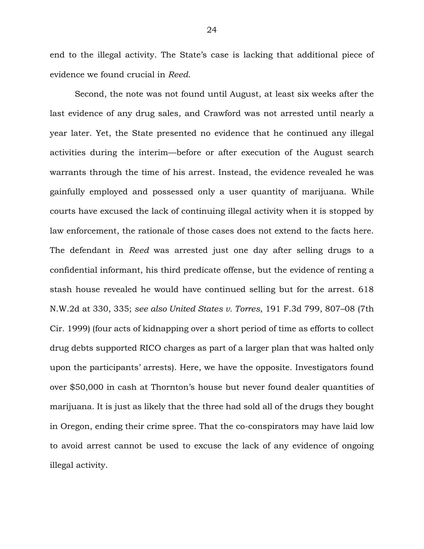end to the illegal activity. The State's case is lacking that additional piece of evidence we found crucial in *Reed*.

Second, the note was not found until August, at least six weeks after the last evidence of any drug sales, and Crawford was not arrested until nearly a year later. Yet, the State presented no evidence that he continued any illegal activities during the interim—before or after execution of the August search warrants through the time of his arrest. Instead, the evidence revealed he was gainfully employed and possessed only a user quantity of marijuana. While courts have excused the lack of continuing illegal activity when it is stopped by law enforcement, the rationale of those cases does not extend to the facts here. The defendant in *Reed* was arrested just one day after selling drugs to a confidential informant, his third predicate offense, but the evidence of renting a stash house revealed he would have continued selling but for the arrest. 618 N.W.2d at 330, 335; *see also United States v. Torres*, 191 F.3d 799, 807–08 (7th Cir. 1999) (four acts of kidnapping over a short period of time as efforts to collect drug debts supported RICO charges as part of a larger plan that was halted only upon the participants' arrests). Here, we have the opposite. Investigators found over \$50,000 in cash at Thornton's house but never found dealer quantities of marijuana. It is just as likely that the three had sold all of the drugs they bought in Oregon, ending their crime spree. That the co-conspirators may have laid low to avoid arrest cannot be used to excuse the lack of any evidence of ongoing illegal activity.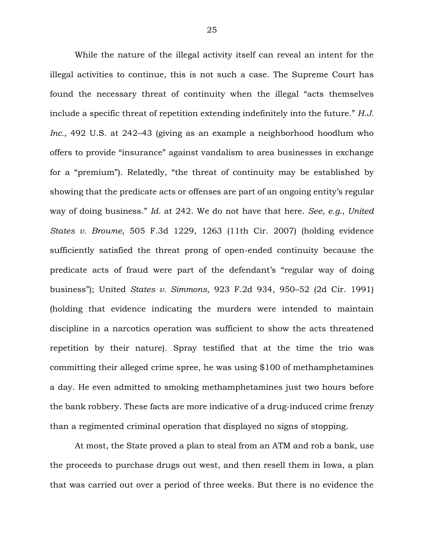While the nature of the illegal activity itself can reveal an intent for the illegal activities to continue, this is not such a case. The Supreme Court has found the necessary threat of continuity when the illegal "acts themselves include a specific threat of repetition extending indefinitely into the future." *H.J. Inc.*, 492 U.S. at 242–43 (giving as an example a neighborhood hoodlum who offers to provide "insurance" against vandalism to area businesses in exchange for a "premium"). Relatedly, "the threat of continuity may be established by showing that the predicate acts or offenses are part of an ongoing entity's regular way of doing business." *Id.* at 242. We do not have that here. *See, e.g.*, *United States v. Browne*, 505 F.3d 1229, 1263 (11th Cir. 2007) (holding evidence sufficiently satisfied the threat prong of open-ended continuity because the predicate acts of fraud were part of the defendant's "regular way of doing business"); United *States v. Simmons*, 923 F.2d 934, 950–52 (2d Cir. 1991) (holding that evidence indicating the murders were intended to maintain discipline in a narcotics operation was sufficient to show the acts threatened repetition by their nature). Spray testified that at the time the trio was committing their alleged crime spree, he was using \$100 of methamphetamines a day. He even admitted to smoking methamphetamines just two hours before the bank robbery. These facts are more indicative of a drug-induced crime frenzy than a regimented criminal operation that displayed no signs of stopping.

At most, the State proved a plan to steal from an ATM and rob a bank, use the proceeds to purchase drugs out west, and then resell them in Iowa, a plan that was carried out over a period of three weeks. But there is no evidence the